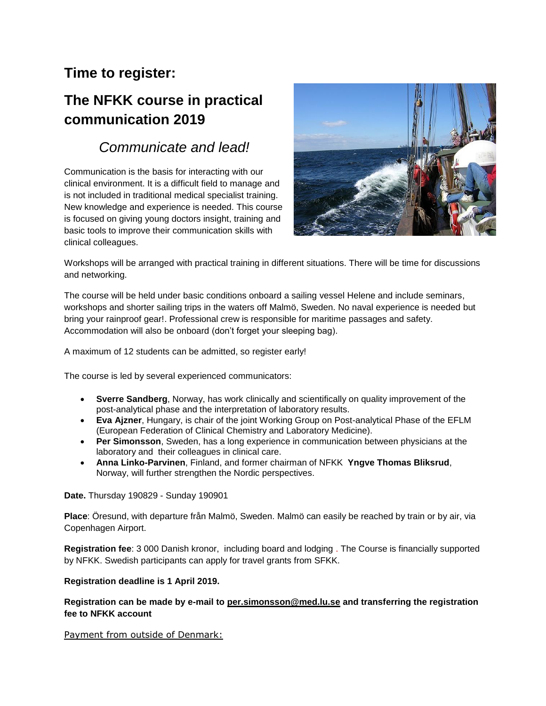## **Time to register:**

# **The NFKK course in practical communication 2019**

# *Communicate and lead!*

Communication is the basis for interacting with our clinical environment. It is a difficult field to manage and is not included in traditional medical specialist training. New knowledge and experience is needed. This course is focused on giving young doctors insight, training and basic tools to improve their communication skills with clinical colleagues.



Workshops will be arranged with practical training in different situations. There will be time for discussions and networking.

The course will be held under basic conditions onboard a sailing vessel Helene and include seminars, workshops and shorter sailing trips in the waters off Malmö, Sweden. No naval experience is needed but bring your rainproof gear!. Professional crew is responsible for maritime passages and safety. Accommodation will also be onboard (don't forget your sleeping bag).

A maximum of 12 students can be admitted, so register early!

The course is led by several experienced communicators:

- **Sverre Sandberg**, Norway, has work clinically and scientifically on quality improvement of the post-analytical phase and the interpretation of laboratory results.
- **Eva Ajzner**, Hungary, is chair of the joint Working Group on Post-analytical Phase of the EFLM (European Federation of Clinical Chemistry and Laboratory Medicine).
- **Per Simonsson**, Sweden, has a long experience in communication between physicians at the laboratory and their colleagues in clinical care.
- **Anna Linko-Parvinen**, Finland, and former chairman of NFKK **Yngve Thomas Bliksrud**, Norway, will further strengthen the Nordic perspectives.

**Date.** Thursday 190829 - Sunday 190901

**Place**: Öresund, with departure från Malmö, Sweden. Malmö can easily be reached by train or by air, via Copenhagen Airport.

**Registration fee**: 3 000 Danish kronor, including board and lodging . The Course is financially supported by NFKK. Swedish participants can apply for travel grants from SFKK.

## **Registration deadline is 1 April 2019.**

### **Registration can be made by e-mail to [per.simonsson@med.lu.se](mailto:per.simonsson@med.lu.se) and transferring the registration fee to NFKK account**

Payment from outside of Denmark: